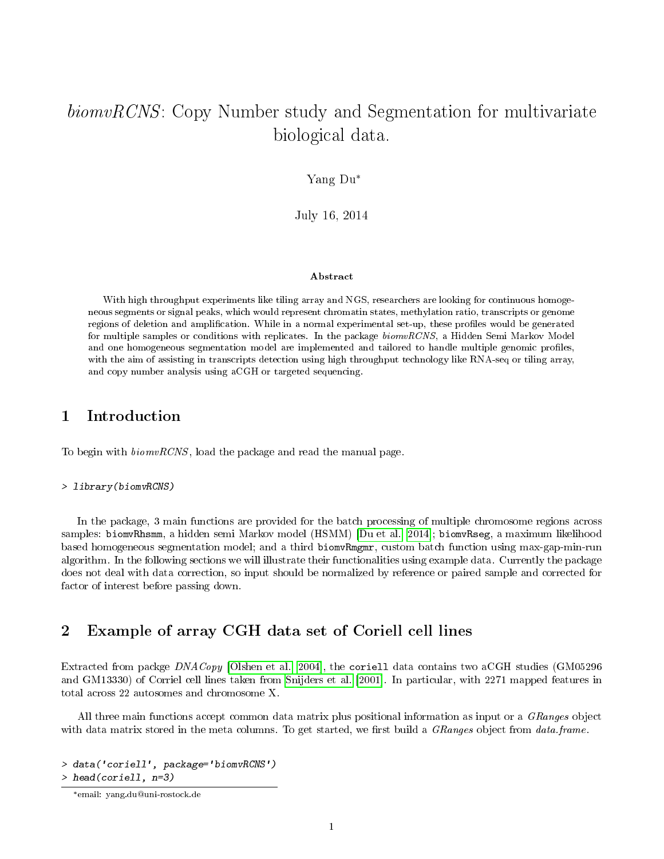### biomvRCNS: Copy Number study and Segmentation for multivariate biological data.

Yang Du\*

July 16, 2014

#### Abstract

With high throughput experiments like tiling array and NGS, researchers are looking for continuous homogeneous segments or signal peaks, which would represent chromatin states, methylation ratio, transcripts or genome regions of deletion and amplification. While in a normal experimental set-up, these profiles would be generated for multiple samples or conditions with replicates. In the package biomvRCNS, a Hidden Semi Markov Model and one homogeneous segmentation model are implemented and tailored to handle multiple genomic profiles, with the aim of assisting in transcripts detection using high throughput technology like RNA-seq or tiling array, and copy number analysis using aCGH or targeted sequencing.

#### 1 Introduction

To begin with biomvRCNS, load the package and read the manual page.

> library(biomvRCNS)

In the package, 3 main functions are provided for the batch processing of multiple chromosome regions across samples: biomvRhsmm, a hidden semi Markov model (HSMM) [\[Du et al., 2014\]](#page-17-0); biomvRseg, a maximum likelihood based homogeneous segmentation model; and a third biomvRmgmr, custom batch function using max-gap-min-run algorithm. In the following sections we will illustrate their functionalities using example data. Currently the package does not deal with data correction, so input should be normalized by reference or paired sample and corrected for factor of interest before passing down.

### 2 Example of array CGH data set of Coriell cell lines

Extracted from packge DNACopy [\[Olshen et al., 2004\]](#page-17-1), the coriell data contains two aCGH studies (GM05296 and GM13330) of Corriel cell lines taken from [Snijders et al.](#page-17-2) [\[2001\]](#page-17-2). In particular, with 2271 mapped features in total across 22 autosomes and chromosome X.

All three main functions accept common data matrix plus positional information as input or a GRanges object with data matrix stored in the meta columns. To get started, we first build a  $GRanges$  object from data.frame.

> data('coriell', package='biomvRCNS') > head(coriell, n=3)

<sup>\*</sup>email: yang.du@uni-rostock.de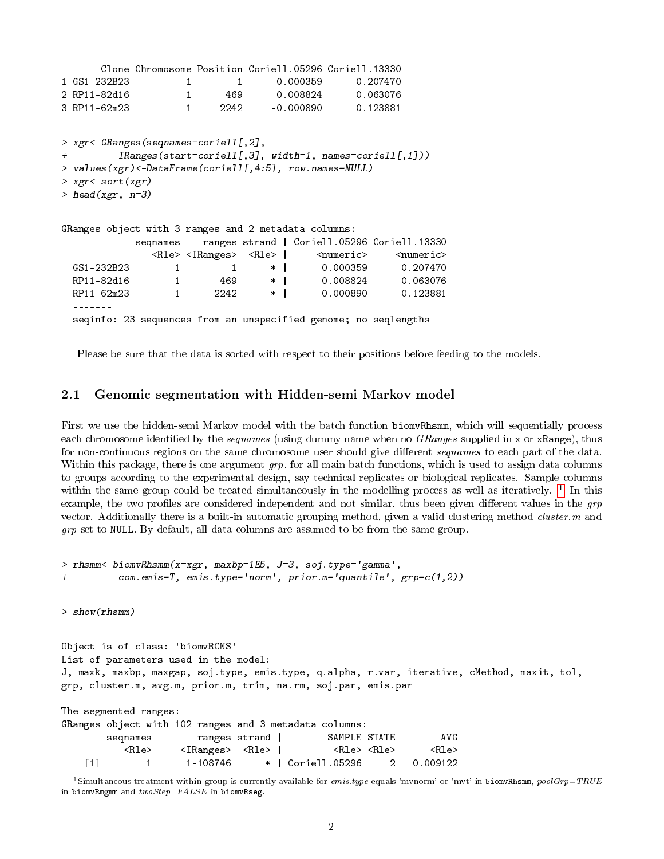```
Clone Chromosome Position Coriell.05296 Coriell.13330
1 GS1-232B23 1 1 0.000359 0.207470
2 RP11-82d16 1 469 0.008824 0.063076
3 RP11-62m23 1 2242 -0.000890 0.123881
> xgr<-GRanges(seqnames=coriell[,2],
+ IRanges(start=coriell[,3], width=1, names=coriell[,1]))
> values(xgr)<-DataFrame(coriell[,4:5], row.names=NULL)
> xgr<-sort(xgr)
> head(xgr, n=3)
GRanges object with 3 ranges and 2 metadata columns:
            seqnames ranges strand | Coriell.05296 Coriell.13330
               <Rle> <IRanges> <Rle> | <
<<rr/>
<mumeric> <<br/>numeric> <mumeric> <mumeric> <mumeric> <mumeric> <mumeric> <mumeric> <mumeric> <mumeric<mumeric<mumeric<mumeric<mumeric
 GS1-232B23 1 1 * 0.000359 0.207470
 RP11-82d16 1 469 * 0.008824 0.063076
 RP11-62m23 1 2242 * | -0.000890 0.123881
  -------
  seqinfo: 23 sequences from an unspecified genome; no seqlengths
```
Please be sure that the data is sorted with respect to their positions before feeding to the models.

#### 2.1 Genomic segmentation with Hidden-semi Markov model

First we use the hidden-semi Markov model with the batch function biomvRhsmm, which will sequentially process each chromosome identified by the *seqnames* (using dummy name when no *GRanges* supplied in x or xRange), thus for non-continuous regions on the same chromosome user should give different *sequames* to each part of the data. Within this package, there is one argument  $grp$ , for all main batch functions, which is used to assign data columns to groups according to the experimental design, say technical replicates or biological replicates. Sample columns within the same group could be treated simultaneously in the modelling process as well as iteratively. <sup>[1](#page-1-0)</sup> In this example, the two profiles are considered independent and not similar, thus been given different values in the  $qrp$ vector. Additionally there is a built-in automatic grouping method, given a valid clustering method *cluster.m* and  $grp$  set to NULL. By default, all data columns are assumed to be from the same group.

```
> rhsmm<-biomvRhsmm(x=xgr, maxbp=1E5, J=3, soj.type='gamma',
+ com.emis=T, emis.type='norm', prior.m='quantile', grp=c(1,2))
```
> show(rhsmm)

```
Object is of class: 'biomvRCNS'
List of parameters used in the model:
J, maxk, maxbp, maxgap, soj.type, emis.type, q.alpha, r.var, iterative, cMethod, maxit, tol,
grp, cluster.m, avg.m, prior.m, trim, na.rm, soj.par, emis.par
```

|                   | The segmented ranges:   |                                       |               |                                                        |  |                         |  |
|-------------------|-------------------------|---------------------------------------|---------------|--------------------------------------------------------|--|-------------------------|--|
|                   |                         |                                       |               | GRanges object with 102 ranges and 3 metadata columns: |  |                         |  |
|                   | segnames                |                                       | ranges strand | SAMPLE STATE                                           |  | AVG.                    |  |
|                   | $\langle$ Rle $\rangle$ | $\langle$ IRanges> $\langle$ Rle> $ $ |               | <rle> <rle></rle></rle>                                |  | $\langle$ Rle $\rangle$ |  |
| $\lceil 1 \rceil$ |                         | 1-108746                              |               | *   Coriell.05296 2                                    |  | 0.009122                |  |

<span id="page-1-0"></span><sup>&</sup>lt;sup>1</sup>Simultaneous treatment within group is currently available for emis.type equals 'mvnorm' or 'mvt' in biomvRhsmm, poolGrp=TRUE in biomvRmgmr and  $twoStep = FALSE$  in biomvRseg.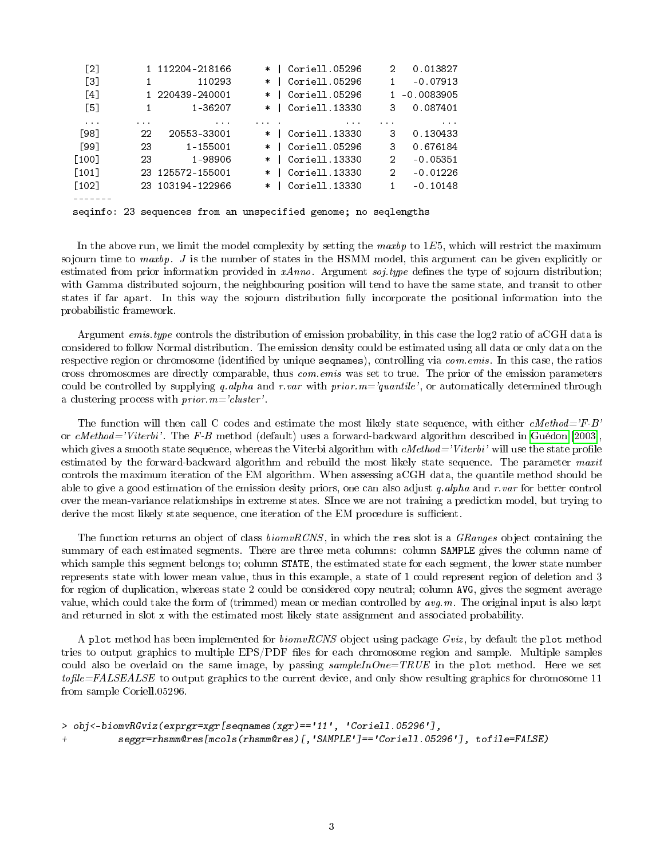| $\lceil 2 \rceil$   |          | 1 112204-218166  | $\ast$ | Coriell.05296 | 2              | 0.013827     |
|---------------------|----------|------------------|--------|---------------|----------------|--------------|
| $\lceil 3 \rceil$   |          | 110293           | $\ast$ | Coriell.05296 |                | $-0.07913$   |
| $\lceil 4 \rceil$   |          | 1 220439-240001  | $\ast$ | Coriell.05296 |                | 1 -0.0083905 |
| $\lceil 5 \rceil$   |          | 1-36207          | $\ast$ | Coriell.13330 | 3              | 0.087401     |
| $\cdots$            | $\cdots$ | $\cdots$         |        | $\cdots$      |                | $\cdots$     |
| [98]                | 22       | 20553-33001      |        | Coriell.13330 | 3              | 0.130433     |
| [99]                | 23       | 1-155001         | $\ast$ | Coriell.05296 | 3              | 0.676184     |
| [100]               | 23       | 1-98906          | $\ast$ | Coriell.13330 | $\overline{2}$ | $-0.05351$   |
| $\lceil 101 \rceil$ |          | 23 125572-155001 | $\ast$ | Coriell.13330 | 2              | $-0.01226$   |
| $\lceil 102 \rceil$ |          | 23 103194-122966 | $\ast$ | Coriell.13330 | 1              | $-0.10148$   |
|                     |          |                  |        |               |                |              |

seqinfo: 23 sequences from an unspecified genome; no seqlengths

In the above run, we limit the model complexity by setting the maxbp to  $1E5$ , which will restrict the maximum sojourn time to maxbp. J is the number of states in the HSMM model, this argument can be given explicitly or estimated from prior information provided in  $xAnno$ . Argument soj.type defines the type of sojourn distribution; with Gamma distributed sojourn, the neighbouring position will tend to have the same state, and transit to other states if far apart. In this way the sojourn distribution fully incorporate the positional information into the probabilistic framework.

Argument emis.type controls the distribution of emission probability, in this case the log2 ratio of aCGH data is considered to follow Normal distribution. The emission density could be estimated using all data or only data on the respective region or chromosome (identified by unique sequames), controlling via *com.emis.* In this case, the ratios cross chromosomes are directly comparable, thus com.emis was set to true. The prior of the emission parameters could be controlled by supplying q.alpha and r.var with prior. $m=$ 'quantile', or automatically determined through a clustering process with *prior*.  $m = 'cluster'.$ 

The function will then call C codes and estimate the most likely state sequence, with either cMethod='F-B' or cMethod='Viterbi'. The F-B method (default) uses a forward-backward algorithm described in [Guédon](#page-17-3) [\[2003\]](#page-17-3), which gives a smooth state sequence, whereas the Viterbi algorithm with  $\alpha Method='Viterbi'$  will use the state profile estimated by the forward-backward algorithm and rebuild the most likely state sequence. The parameter maxit controls the maximum iteration of the EM algorithm. When assessing aCGH data, the quantile method should be able to give a good estimation of the emission desity priors, one can also adjust q.alpha and r.var for better control over the mean-variance relationships in extreme states. SInce we are not training a prediction model, but trying to derive the most likely state sequence, one iteration of the EM procedure is sufficient.

The function returns an object of class *biomvRCNS*, in which the res slot is a *GRanges* object containing the summary of each estimated segments. There are three meta columns: column SAMPLE gives the column name of which sample this segment belongs to; column **STATE**, the estimated state for each segment, the lower state number represents state with lower mean value, thus in this example, a state of 1 could represent region of deletion and 3 for region of duplication, whereas state 2 could be considered copy neutral; column AVG, gives the segment average value, which could take the form of (trimmed) mean or median controlled by  $avg.m$ . The original input is also kept and returned in slot x with the estimated most likely state assignment and associated probability.

A plot method has been implemented for  $biomvRCNS$  object using package Gviz, by default the plot method tries to output graphics to multiple EPS/PDF files for each chromosome region and sample. Multiple samples could also be overlaid on the same image, by passing  $sampleInOne=TRUE$  in the plot method. Here we set  $to file = FALSEABLE$  to output graphics to the current device, and only show resulting graphics for chromosome 11 from sample Coriell.05296.

```
> obj<-biomvRGviz(exprgr=xgr[seqnames(xgr)=='11', 'Coriell.05296'],
          + seggr=rhsmm@res[mcols(rhsmm@res)[,'SAMPLE']=='Coriell.05296'], tofile=FALSE)
```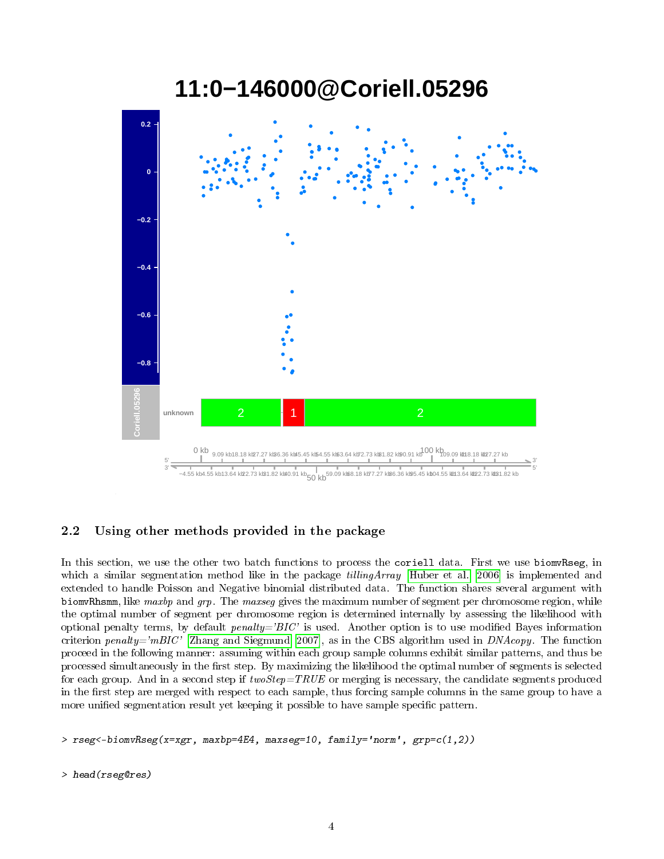

# **11:0−146000@Coriell.05296**

#### 2.2 Using other methods provided in the package

In this section, we use the other two batch functions to process the coriell data. First we use biomvRseg, in which a similar segmentation method like in the package *tillingArray* [\[Huber et al., 2006\]](#page-17-4) is implemented and extended to handle Poisson and Negative binomial distributed data. The function shares several argument with biomvRhsmm, like maxbp and grp. The maxseg gives the maximum number of segment per chromosome region, while the optimal number of segment per chromosome region is determined internally by assessing the likelihood with optional penalty terms, by default  $penalty = 'BIC'$  is used. Another option is to use modified Bayes information criterion penalty='mBIC' [\[Zhang and Siegmund, 2007\]](#page-17-5), as in the CBS algorithm used in  $DNAcopy$ . The function proceed in the following manner: assuming within each group sample columns exhibit similar patterns, and thus be processed simultaneously in the first step. By maximizing the likelihood the optimal number of segments is selected for each group. And in a second step if  $twoStep = TRUE$  or merging is necessary, the candidate segments produced in the first step are merged with respect to each sample, thus forcing sample columns in the same group to have a more unified segmentation result yet keeping it possible to have sample specific pattern.

> rseg<-biomvRseg(x=xgr, maxbp=4E4, maxseg=10, family='norm', grp=c(1,2))

> head(rseg@res)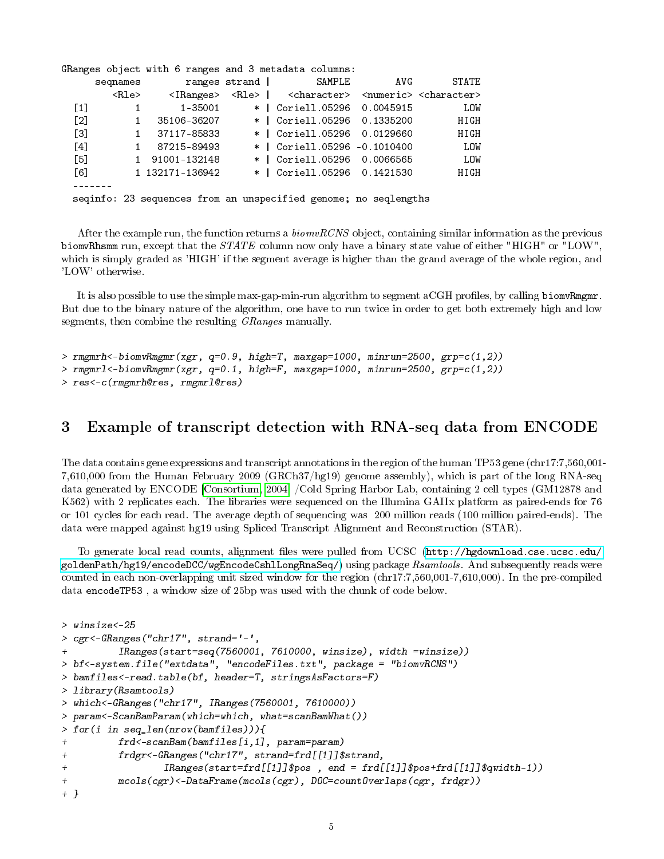|                   |              |                 |               | GRanges object with 6 ranges and 3 metadata columns:                                                  |     |              |
|-------------------|--------------|-----------------|---------------|-------------------------------------------------------------------------------------------------------|-----|--------------|
|                   | segnames     |                 | ranges strand | SAMPLE                                                                                                | AVG | <b>STATE</b> |
|                   | <rle></rle>  |                 |               | <iranges> <rle>   <character> <numeric> <character></character></numeric></character></rle></iranges> |     |              |
| $\left[1\right]$  |              | 1-35001         |               | $*$   Coriell.05296 0.0045915                                                                         |     | LOW          |
| $\lceil 2 \rceil$ | $\mathbf{1}$ | 35106-36207     |               | $*$   Coriell.05296 0.1335200                                                                         |     | HIGH         |
| $\left[3\right]$  | $\mathbf{1}$ | 37117-85833     |               | $*$   Coriell.05296 0.0129660                                                                         |     | HIGH         |
| $\lceil 4 \rceil$ |              | 87215-89493     |               | $*$   Coriell.05296 -0.1010400                                                                        |     | LOW          |
| $[5]$             |              | 1 91001-132148  |               | $*$   Coriell.05296 0.0066565                                                                         |     | LOW          |
| $\lceil 6 \rceil$ |              | 1 132171-136942 |               | *   Coriell.05296 0.1421530                                                                           |     | HIGH         |
|                   |              |                 |               |                                                                                                       |     |              |
|                   |              |                 |               | seqinfo: 23 sequences from an unspecified genome; no seqlengths                                       |     |              |

After the example run, the function returns a  $biomvRCNS$  object, containing similar information as the previous biomvRhsmm run, except that the  $STATE$  column now only have a binary state value of either "HIGH" or "LOW", which is simply graded as 'HIGH' if the segment average is higher than the grand average of the whole region, and 'LOW' otherwise.

It is also possible to use the simple max-gap-min-run algorithm to segment aCGH profiles, by calling biomvRmgmr. But due to the binary nature of the algorithm, one have to run twice in order to get both extremely high and low segments, then combine the resulting GRanges manually.

```
> rmgmrh <-biomvRmgmr(xgr, q=0.9, high=T, maxgap=1000, minrun=2500, grp=c(1,2))
> rmgmr1<-biomvRmgmr(xgr, q=0.1, high=F, maxgap=1000, minrun=2500, grp=c(1,2))
> res<-c(rmgmrh@res, rmgmrl@res)
```
#### 3 Example of transcript detection with RNA-seq data from ENCODE

The data contains gene expressions and transcript annotations in the region of the human TP53 gene (chr17:7,560,001- 7,610,000 from the Human February 2009 (GRCh37/hg19) genome assembly), which is part of the long RNA-seq data generated by ENCODE [\[Consortium, 2004\]](#page-17-6) /Cold Spring Harbor Lab, containing 2 cell types (GM12878 and K562) with 2 replicates each. The libraries were sequenced on the Illumina GAIIx platform as paired-ends for 76 or 101 cycles for each read. The average depth of sequencing was 200 million reads (100 million paired-ends). The data were mapped against hg19 using Spliced Transcript Alignment and Reconstruction (STAR).

To generate local read counts, alignment files were pulled from UCSC [\(http://hgdownload.cse.ucsc.edu/](http://hgdownload.cse.ucsc.edu/goldenPath/hg19/encodeDCC/wgEncodeCshlLongRnaSeq/) [goldenPath/hg19/encodeDCC/wgEncodeCshlLongRnaSeq/\)](http://hgdownload.cse.ucsc.edu/goldenPath/hg19/encodeDCC/wgEncodeCshlLongRnaSeq/) using package Rsamtools. And subsequently reads were counted in each non-overlapping unit sized window for the region (chr17:7,560,001-7,610,000). In the pre-compiled data encodeTP53 , a window size of 25bp was used with the chunk of code below.

```
> winsize<-25
> cgr<-GRanges("chr17", strand='-',
         IRanges(start=seq(7560001, 7610000, winsize), width =winsize))
> bf<-system.file("extdata", "encodeFiles.txt", package = "biomvRCNS")
> bamfiles<-read.table(bf, header=T, stringsAsFactors=F)
> library(Rsamtools)
> which<-GRanges("chr17", IRanges(7560001, 7610000))
> param<-ScanBamParam(which=which, what=scanBamWhat())
> for(i in seq_len(nrow(bamfiles))){
+ frd<-scanBam(bamfiles[i,1], param=param)
+ frdgr<-GRanges("chr17", strand=frd[[1]]$strand,
+ IRanges(start=frd[[1]]$pos , end = frd[[1]]$pos+frd[[1]]$qwidth-1))
         mcols(cgr) <-DataFrame(mcols(cgr), DOC=countOverlaps(cgr, frdgr))
+ }
```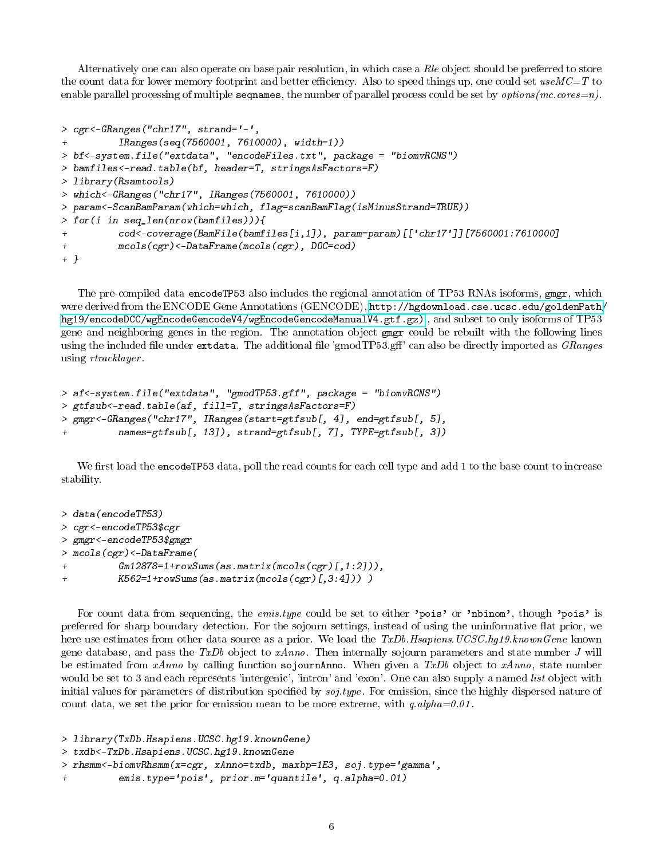Alternatively one can also operate on base pair resolution, in which case a Rle object should be preferred to store the count data for lower memory footprint and better efficiency. Also to speed things up, one could set  $useMC=T$  to enable parallel processing of multiple sequames, the number of parallel process could be set by *options*( $mc.cores=n$ ).

```
> cgr<-GRanges("chr17", strand='-',
+ IRanges(seq(7560001, 7610000), width=1))
> bf<-system.file("extdata", "encodeFiles.txt", package = "biomvRCNS")
> bamfiles<-read.table(bf, header=T, stringsAsFactors=F)
> library(Rsamtools)
> which<-GRanges("chr17", IRanges(7560001, 7610000))
> param<-ScanBamParam(which=which, flag=scanBamFlag(isMinusStrand=TRUE))
> for(i in seq_len(nrow(bamfiles))){
+ cod<-coverage(BamFile(bamfiles[i,1]), param=param)[['chr17']][7560001:7610000]
+ mcols(cgr)<-DataFrame(mcols(cgr), DOC=cod)
+ }
```
The pre-compiled data encodeTP53 also includes the regional annotation of TP53 RNAs isoforms, gmgr, which were derived from the ENCODE Gene Annotations (GENCODE), [http://hgdownload.cse.ucsc.edu/goldenPath/](http://hgdownload.cse.ucsc.edu/goldenPath/hg19/encodeDCC/wgEncodeGencodeV4/wgEncodeGencodeManualV4.gtf.gz)) [hg19/encodeDCC/wgEncodeGencodeV4/wgEncodeGencodeManualV4.gtf.gz\)](http://hgdownload.cse.ucsc.edu/goldenPath/hg19/encodeDCC/wgEncodeGencodeV4/wgEncodeGencodeManualV4.gtf.gz)) , and subset to only isoforms of TP53 gene and neighboring genes in the region. The annotation object gmgr could be rebuilt with the following lines using the included file under extdata. The additional file 'gmodTP53.gff' can also be directly imported as GRanges using rtracklayer .

```
> af<-system.file("extdata", "gmodTP53.gff", package = "biomvRCNS")
> gtfsub<-read.table(af, fill=T, stringsAsFactors=F)
> gmgr<-GRanges("chr17", IRanges(start=gtfsub[, 4], end=gtfsub[, 5],
         names=gtfsub[, 13]), strand=gtfsub[, 7], TYPE=gtfsub[, 3])
```
We first load the encodeTP53 data, poll the read counts for each cell type and add 1 to the base count to increase stability.

```
> data(encodeTP53)
> cgr<-encodeTP53$cgr
> gmgr<-encodeTP53$gmgr
> mcols(cgr)<-DataFrame(
         Gm12878=1+rowSums(as.matrix(mcols(cgr)[,1:2])),
+ K562=1+rowSums(as.matrix(mcols(cgr)[,3:4])) )
```
For count data from sequencing, the *emis.type* could be set to either 'pois' or 'nbinom', though 'pois' is preferred for sharp boundary detection. For the sojourn settings, instead of using the uninformative flat prior, we here use estimates from other data source as a prior. We load the TxDb.Hsapiens.UCSC.hg19.knownGene known gene database, and pass the TxDb object to  $xAnno$ . Then internally sojourn parameters and state number J will be estimated from  $xAnno$  by calling function sojournAnno. When given a  $TxDb$  object to  $xAnno$ , state number would be set to 3 and each represents 'intergenic', 'intron' and 'exon'. One can also supply a named *list* object with initial values for parameters of distribution specified by  $soj.type$ . For emission, since the highly dispersed nature of count data, we set the prior for emission mean to be more extreme, with  $q$  alpha=0.01.

```
> library(TxDb.Hsapiens.UCSC.hg19.knownGene)
```

```
> txdb<-TxDb.Hsapiens.UCSC.hg19.knownGene
```

```
> rhsmm<-biomvRhsmm(x=cgr, xAnno=txdb, maxbp=1E3, soj.type='gamma',
```

```
emis.type='pois', prior.m='quantile', q.alpha=0.01)
```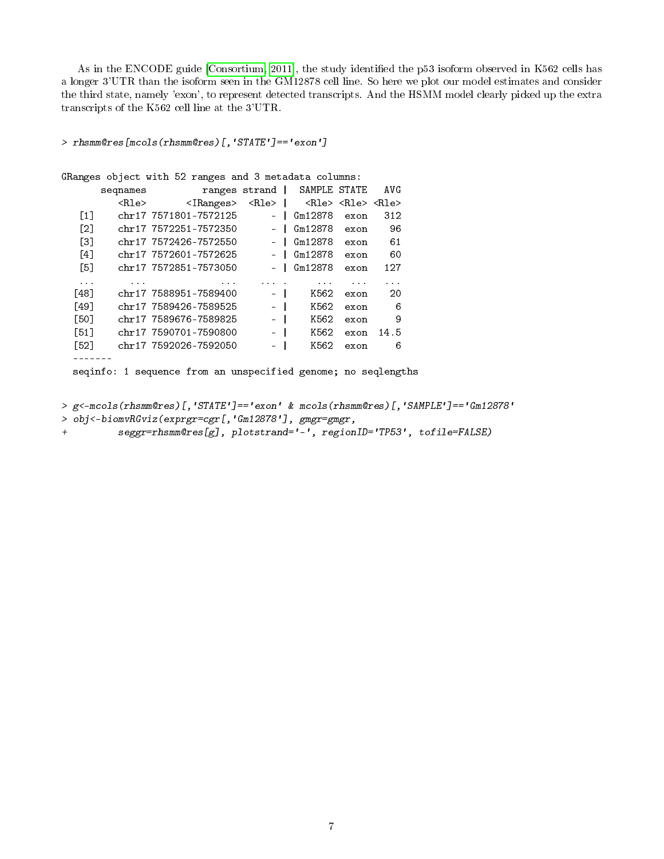As in the ENCODE guide [\[Consortium, 2011\]](#page-17-7), the study identied the p53 isoform observed in K562 cells has a longer 3'UTR than the isoform seen in the GM12878 cell line. So here we plot our model estimates and consider the third state, namely 'exon', to represent detected transcripts. And the HSMM model clearly picked up the extra transcripts of the K562 cell line at the 3'UTR.

```
> rhsmm@res[mcols(rhsmm@res)[,'STATE']=='exon']
```

```
GRanges object with 52 ranges and 3 metadata columns:
     seqnames ranges strand | SAMPLE STATE AVG
       <Rle> <IRanges> <Rle> | <Rle> <Rle> <Rle>
  [1] chr17 7571801-7572125 - | Gm12878 exon 312
  [2] chr17 7572251-7572350 - | Gm12878 exon 96
  [3] chr17 7572426-7572550 - | Gm12878 exon 61
  [4] chr17 7572601-7572625 - | Gm12878 exon 60
  [5] chr17 7572851-7573050 - | Gm12878 exon 127
  ... ... ... ... . ... ... ...
 [48] chr17 7588951-7589400 - | K562 exon 20
 [49] chr17 7589426-7589525 - | K562 exon 6
 [50] chr17 7589676-7589825 - | K562 exon 9
 [51] chr17 7590701-7590800 - | K562 exon 14.5
 [52] chr17 7592026-7592050 - | K562 exon 6
 -------
```
seqinfo: 1 sequence from an unspecified genome; no seqlengths

> g<-mcols(rhsmm@res)[,'STATE']=='exon' & mcols(rhsmm@res)[,'SAMPLE']=='Gm12878'

- > obj<-biomvRGviz(exprgr=cgr[,'Gm12878'], gmgr=gmgr,
- + seggr=rhsmm@res[g], plotstrand='-', regionID='TP53', tofile=FALSE)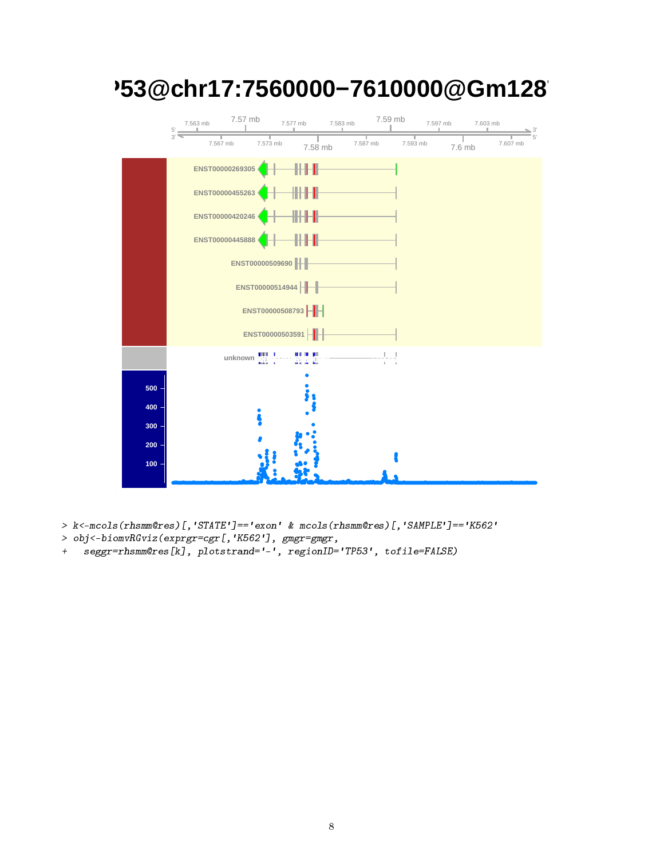

# **TP53@chr17:7560000−7610000@Gm12878**

> k<-mcols(rhsmm@res)[,'STATE']=='exon' & mcols(rhsmm@res)[,'SAMPLE']=='K562'

- > obj<-biomvRGviz(exprgr=cgr[,'K562'], gmgr=gmgr,
- + seggr=rhsmm@res[k], plotstrand='-', regionID='TP53', tofile=FALSE)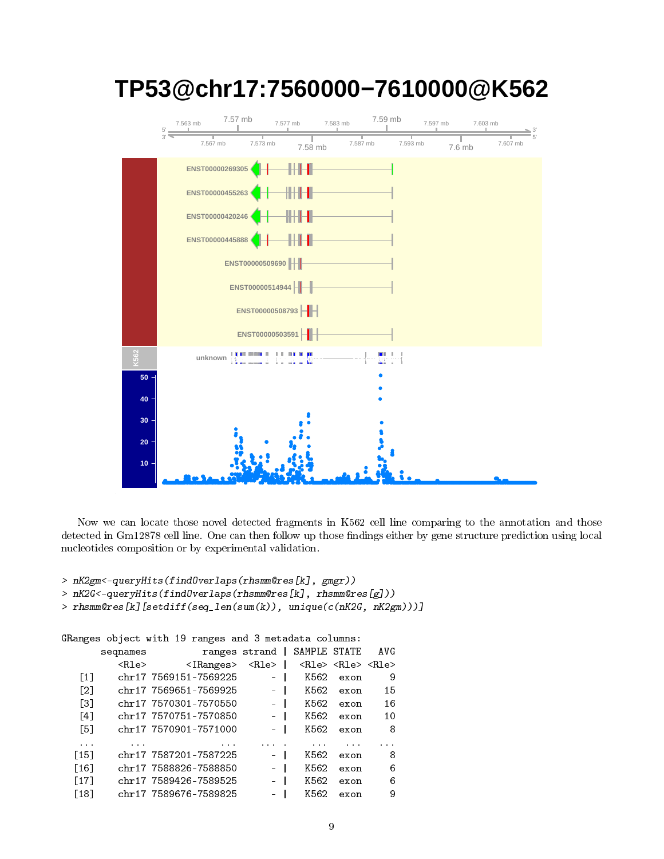

# **TP53@chr17:7560000−7610000@K562**

Now we can locate those novel detected fragments in K562 cell line comparing to the annotation and those detected in Gm12878 cell line. One can then follow up those findings either by gene structure prediction using local nucleotides composition or by experimental validation.

```
> nK2gm<-queryHits(findOverlaps(rhsmm@res[k], gmgr))
```
> nK2G<-queryHits(findOverlaps(rhsmm@res[k], rhsmm@res[g]))

```
> rhsmm@res[k][setdiff(seq_len(sum(k)), unique(c(nK2G, nK2gm)))]
```

```
GRanges object with 19 ranges and 3 metadata columns:
      sequames ranges strand | SAMPLE STATE AVG
```

|               |                                     |          | and the state of the state |             | ranger borana               | podtramop   |                    |
|---------------|-------------------------------------|----------|----------------------------|-------------|-----------------------------|-------------|--------------------|
|               | <rle> <rle> <rle></rle></rle></rle> |          |                            | $<$ Rle $>$ | $\langle$ IRanges $\rangle$ | <rle></rle> |                    |
| 9             | exon                                | K562     |                            | $\sim$      | chr17 7569151-7569225       |             | $\lceil 1 \rceil$  |
| 15            | exon                                | K562     |                            |             | chr17 7569651-7569925       |             | $\lceil 2 \rceil$  |
| 16            | exon                                | K562     |                            |             | chr17 7570301-7570550       |             | Г31                |
| 10            | exon                                | K562     |                            | ÷.          | chr17 7570751-7570850       |             | $\lceil 4 \rceil$  |
| 8             | exon                                | K562     |                            |             | chr17 7570901-7571000       |             | [5]                |
| $\sim$ $\sim$ |                                     | $\cdots$ |                            |             | $\cdots$                    | $\cdots$    | $\cdots$           |
| 8             | exon                                | K562     |                            |             | chr17 7587201-7587225       |             | [15]               |
| 6             | exon                                | K562     |                            |             | chr17 7588826-7588850       |             | $\lceil 16 \rceil$ |
| 6             | exon                                | K562     |                            | ÷.          | chr17 7589426-7589525       |             | [17]               |
| 9             | exon                                | K562     |                            |             | chr17 7589676-7589825       |             | $\lceil 18 \rceil$ |
|               |                                     |          |                            |             |                             |             |                    |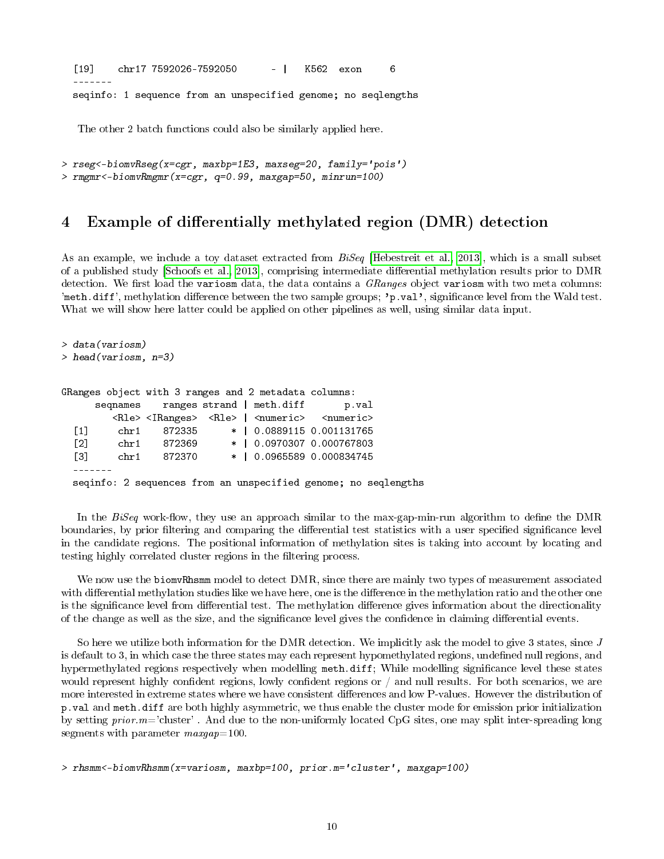[19] chr17 7592026-7592050 - | K562 exon 6 ------ seqinfo: 1 sequence from an unspecified genome; no seqlengths

The other 2 batch functions could also be similarly applied here.

> rseg<-biomvRseg(x=cgr, maxbp=1E3, maxseg=20, family='pois') > rmgmr<-biomvRmgmr(x=cgr, q=0.99, maxgap=50, minrun=100)

#### 4 Example of differentially methylated region (DMR) detection

As an example, we include a toy dataset extracted from  $BiSeq$  [\[Hebestreit et al., 2013\]](#page-17-8), which is a small subset of a published study [\[Schoofs et al., 2013\]](#page-17-9), comprising intermediate dierential methylation results prior to DMR detection. We first load the variosm data, the data contains a  $GRanges$  object variosm with two meta columns: 'meth.diff', methylation difference between the two sample groups; 'p.val', significance level from the Wald test. What we will show here latter could be applied on other pipelines as well, using similar data input.

```
> data(variosm)
> head(variosm, n=3)
GRanges object with 3 ranges and 2 metadata columns:
     seqnames ranges strand | meth.diff p.val
        <Rle> <IRanges> <Rle> | <numeric> <numeric>
 [1] chr1 872335 * | 0.0889115 0.001131765
 [2] chr1 872369 * | 0.0970307 0.000767803
 [3] chr1 872370 * | 0.0965589 0.000834745
  -------
 seqinfo: 2 sequences from an unspecified genome; no seqlengths
```
In the  $BiSeq$  work-flow, they use an approach similar to the max-gap-min-run algorithm to define the DMR boundaries, by prior filtering and comparing the differential test statistics with a user specified significance level in the candidate regions. The positional information of methylation sites is taking into account by locating and testing highly correlated cluster regions in the filtering process.

We now use the biomvRhsmm model to detect DMR, since there are mainly two types of measurement associated with differential methylation studies like we have here, one is the difference in the methylation ratio and the other one is the significance level from differential test. The methylation difference gives information about the directionality of the change as well as the size, and the significance level gives the confidence in claiming differential events.

So here we utilize both information for the DMR detection. We implicitly ask the model to give 3 states, since J is default to 3, in which case the three states may each represent hypomethylated regions, undefined null regions, and hypermethylated regions respectively when modelling meth.diff; While modelling significance level these states would represent highly confident regions, lowly confident regions or  $/$  and null results. For both scenarios, we are more interested in extreme states where we have consistent differences and low P-values. However the distribution of p.val and meth.diff are both highly asymmetric, we thus enable the cluster mode for emission prior initialization by setting  $prior.m='cluster'$ . And due to the non-uniformly located CpG sites, one may split inter-spreading long segments with parameter  $maxgap=100$ .

```
> rhsmm<-biomvRhsmm(x=variosm, maxbp=100, prior.m='cluster', maxgap=100)
```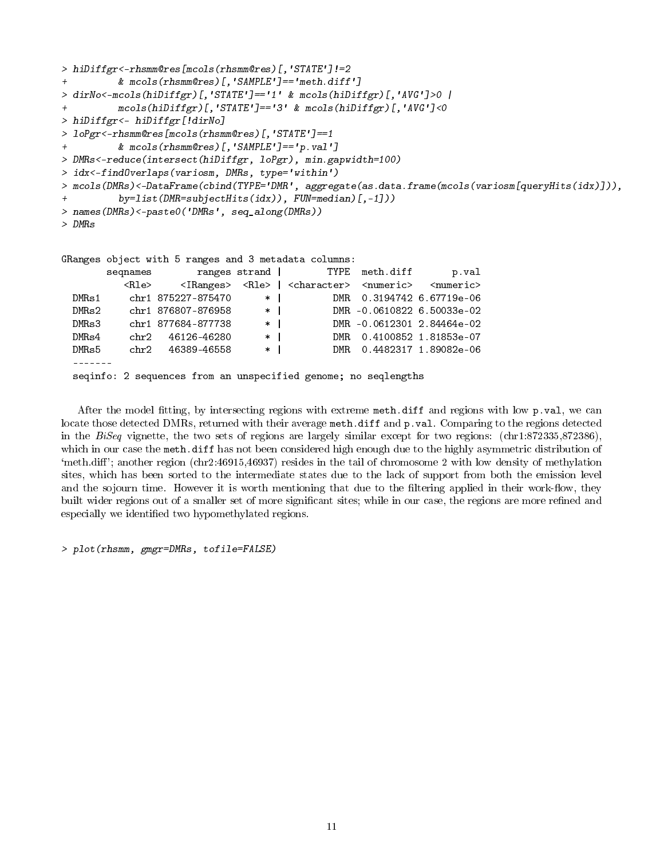```
> hiDiffgr<-rhsmm@res[mcols(rhsmm@res)[,'STATE']!=2
+ & mcols(rhsmm@res)[,'SAMPLE']=='meth.diff']
> dirNo<-mcols(hiDiffgr)[,'STATE']=='1' & mcols(hiDiffgr)[,'AVG']>0 |
+ mcols(hiDiffgr)[,'STATE']=='3' & mcols(hiDiffgr)[,'AVG']<0
> hiDiffgr<- hiDiffgr[!dirNo]
> loPgr<-rhsmm@res[mcols(rhsmm@res)[,'STATE']==1
+ & mcols(rhsmm@res)[,'SAMPLE']=='p.val']
> DMRs<-reduce(intersect(hiDiffgr, loPgr), min.gapwidth=100)
> idx<-findOverlaps(variosm, DMRs, type='within')
> mcols(DMRs)<-DataFrame(cbind(TYPE='DMR', aggregate(as.data.frame(mcols(variosm[queryHits(idx)])),
+ by=list(DMR=subjectHits(idx)), FUN=median)[,-1]))
> names(DMRs)<-paste0('DMRs', seq_along(DMRs))
> DMRs
GRanges object with 5 ranges and 3 metadata columns:
       seqnames ranges strand | TYPE meth.diff p.val
         <Rle> <IRanges> <Rle> | <character> <numeric> <numeric>
 DMRs1 chr1 875227-875470 * | DMR 0.3194742 6.67719e-06
 DMRs2 chr1 876807-876958 * | DMR -0.0610822 6.50033e-02
 DMRs3 chr1 877684-877738 * | DMR -0.0612301 2.84464e-02
 DMRs4 chr2 46126-46280 * | DMR 0.4100852 1.81853e-07
 DMRs5 chr2 46389-46558 * | DMR 0.4482317 1.89082e-06
 -------
```
seqinfo: 2 sequences from an unspecified genome; no seqlengths

After the model fitting, by intersecting regions with extreme meth.diff and regions with low p.val, we can locate those detected DMRs, returned with their average meth.diff and p.val. Comparing to the regions detected in the BiSeq vignette, the two sets of regions are largely similar except for two regions: (chr1:872335,872386), which in our case the meth.diff has not been considered high enough due to the highly asymmetric distribution of 'meth.diff'; another region (chr2:46915,46937) resides in the tail of chromosome 2 with low density of methylation sites, which has been sorted to the intermediate states due to the lack of support from both the emission level and the sojourn time. However it is worth mentioning that due to the filtering applied in their work-flow, they built wider regions out of a smaller set of more significant sites; while in our case, the regions are more refined and especially we identified two hypomethylated regions.

> plot(rhsmm, gmgr=DMRs, tofile=FALSE)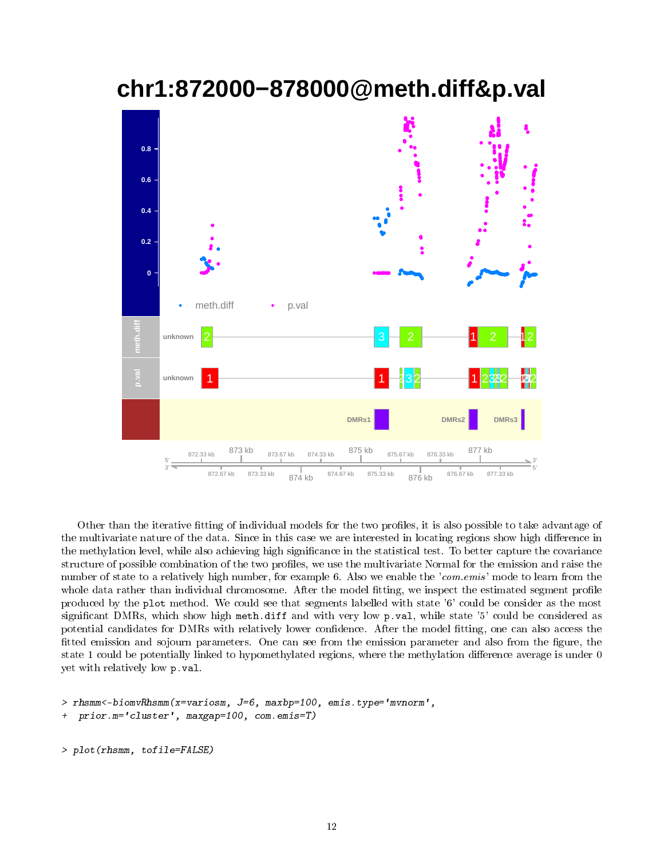## **chr1:872000−878000@meth.diff&p.val**



Other than the iterative fitting of individual models for the two profiles, it is also possible to take advantage of the multivariate nature of the data. Since in this case we are interested in locating regions show high difference in the methylation level, while also achieving high significance in the statistical test. To better capture the covariance structure of possible combination of the two profiles, we use the multivariate Normal for the emission and raise the number of state to a relatively high number, for example 6. Also we enable the 'com. emis' mode to learn from the whole data rather than individual chromosome. After the model fitting, we inspect the estimated segment profile produced by the plot method. We could see that segments labelled with state '6' could be consider as the most significant DMRs, which show high meth.diff and with very low p.val, while state '5' could be considered as potential candidates for DMRs with relatively lower confidence. After the model fitting, one can also access the fitted emission and sojourn parameters. One can see from the emission parameter and also from the figure, the state 1 could be potentially linked to hypomethylated regions, where the methylation difference average is under 0 yet with relatively low p.val.

```
> rhsmm<-biomvRhsmm(x=variosm, J=6, maxbp=100, emis.type='mvnorm',
+ prior.m='cluster', maxgap=100, com.emis=T)
```

```
> plot(rhsmm, tofile=FALSE)
```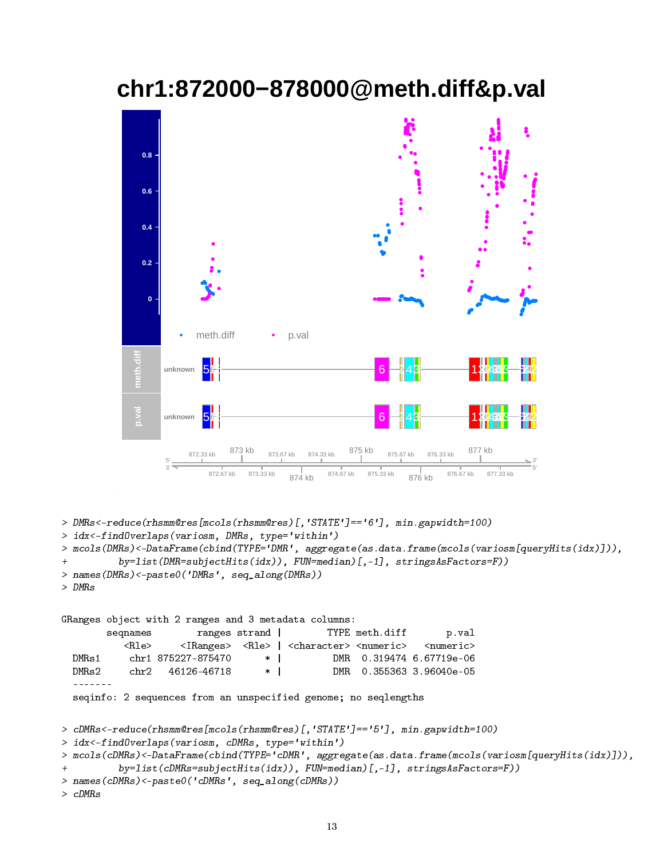## **chr1:872000−878000@meth.diff&p.val**



> DMRs<-reduce(rhsmm@res[mcols(rhsmm@res)[,'STATE']=='6'], min.gapwidth=100)

```
> idx<-findOverlaps(variosm, DMRs, type='within')
```
> mcols(DMRs)<-DataFrame(cbind(TYPE='DMR', aggregate(as.data.frame(mcols(variosm[queryHits(idx)])),

```
+ by=list(DMR=subjectHits(idx)), FUN=median)[,-1], stringsAsFactors=F))
```

```
> names(DMRs)<-paste0('DMRs', seq_along(DMRs))
```

```
> DMRs
```
GRanges object with 2 ranges and 3 metadata columns: seqnames ranges strand | TYPE meth.diff p.val <Rle> <IRanges> <Rle> | <character> <numeric> <numeric> DMRs1 chr1 875227-875470 \* | DMR 0.319474 6.67719e-06 DMRs2 chr2 46126-46718 \* | DMR 0.355363 3.96040e-05 ------ seqinfo: 2 sequences from an unspecified genome; no seqlengths

```
> cDMRs<-reduce(rhsmm@res[mcols(rhsmm@res)[,'STATE']=='5'], min.gapwidth=100)
```

```
> idx<-findOverlaps(variosm, cDMRs, type='within')
```

```
> mcols(cDMRs)<-DataFrame(cbind(TYPE='cDMR', aggregate(as.data.frame(mcols(variosm[queryHits(idx)])),
```

```
+ by=list(cDMRs=subjectHits(idx)), FUN=median)[,-1], stringsAsFactors=F))
```

```
> names(cDMRs)<-paste0('cDMRs', seq_along(cDMRs))
```

```
> cDMRs
```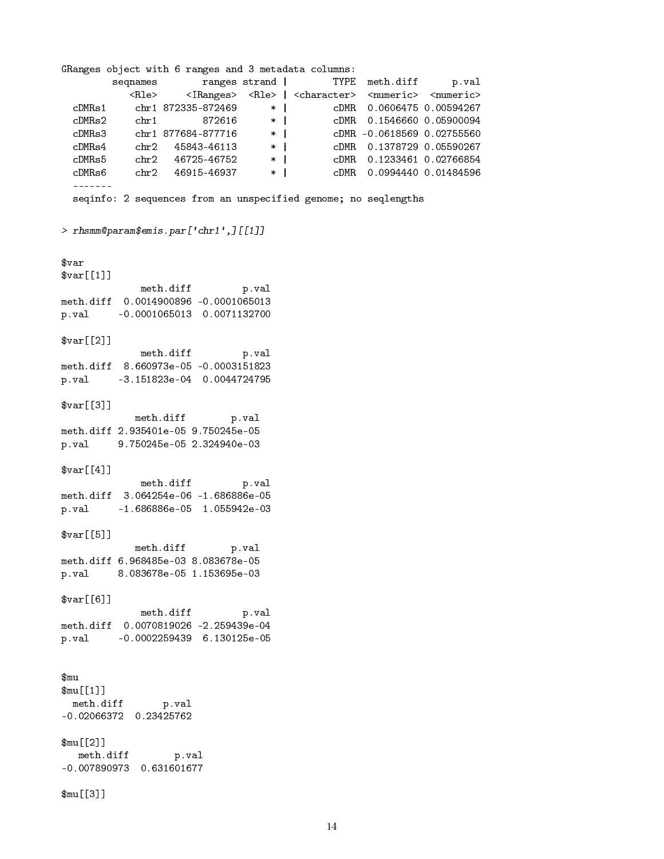GRanges object with 6 ranges and 3 metadata columns: seqnames ranges strand | TYPE meth.diff p.val <Rle> <IRanges> <Rle> | <character> <numeric> <numeric> cDMRs1 chr1 872335-872469 \* | cDMR 0.0606475 0.00594267 cDMRs2 chr1 872616 \* | cDMR 0.1546660 0.05900094 cDMRs3 chr1 877684-877716 \* | cDMR -0.0618569 0.02755560 cDMRs4 chr2 45843-46113 \* | cDMR 0.1378729 0.05590267<br>
cDMRs5 chr2 45843-46113 \* | cDMR 0.1378729 0.05590267<br>
cDMRs5 chr<sup>9</sup> 46115 \* | cDMR 0.1378729 0.05590267 cDMRs5 chr2 46725-46752 \* | cDMR 0.1233461 0.02766854 cDMRs6 chr2 46915-46937 \* | cDMR 0.0994440 0.01484596 ------ seqinfo: 2 sequences from an unspecified genome; no seqlengths > rhsmm@param\$emis.par['chr1',][[1]] \$var \$var[[1]] meth.diff p.val meth.diff 0.0014900896 -0.0001065013 p.val -0.0001065013 0.0071132700 \$var[[2]] meth.diff p.val meth.diff 8.660973e-05 -0.0003151823 p.val -3.151823e-04 0.0044724795 \$var[[3]] meth.diff p.val meth.diff 2.935401e-05 9.750245e-05 p.val 9.750245e-05 2.324940e-03  $$var[64]$ ] meth.diff p.val meth.diff 3.064254e-06 -1.686886e-05 p.val -1.686886e-05 1.055942e-03 \$var[[5]] meth.diff p.val meth.diff 6.968485e-03 8.083678e-05 p.val 8.083678e-05 1.153695e-03  $$var[6]$ ] meth.diff p.val meth.diff 0.0070819026 -2.259439e-04 p.val -0.0002259439 6.130125e-05 \$mu \$mu[[1]] meth.diff p.val -0.02066372 0.23425762 \$mu[[2]] meth.diff p.val -0.007890973 0.631601677 \$mu[[3]]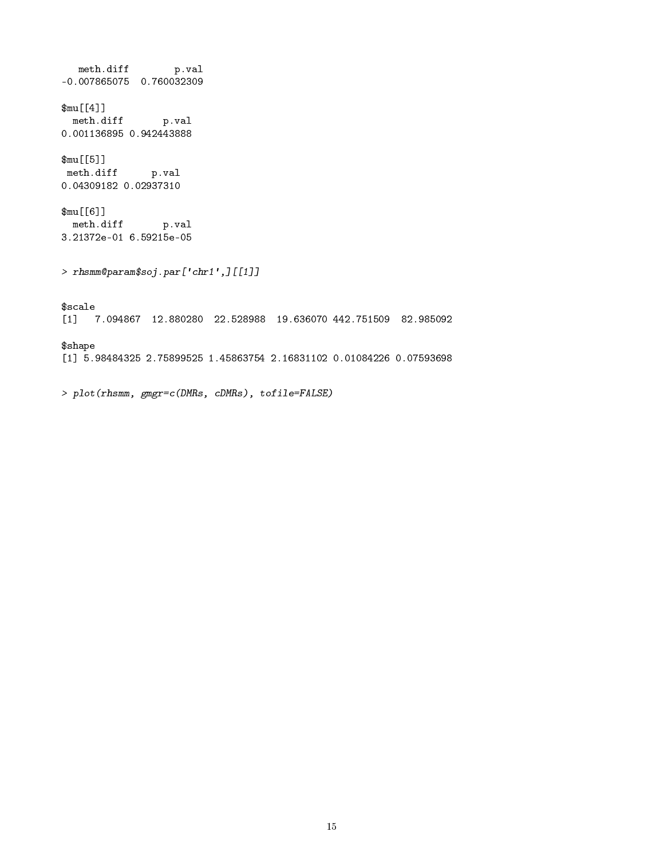$\begin{minipage}{.4\linewidth} \begin{tabular}{l} \hline\texttt{meth.diff} \end{tabular} \end{minipage}$ -0.007865075 0.760032309 \$mu[[4]] meth.diff p.val 0.001136895 0.942443888 \$mu[[5]] meth.diff p.val 0.04309182 0.02937310 \$mu[[6]] meth.diff p.val 3.21372e-01 6.59215e-05 > rhsmm@param\$soj.par['chr1',][[1]] \$scale [1] 7.094867 12.880280 22.528988 19.636070 442.751509 82.985092 \$shape [1] 5.98484325 2.75899525 1.45863754 2.16831102 0.01084226 0.07593698

> plot(rhsmm, gmgr=c(DMRs, cDMRs), tofile=FALSE)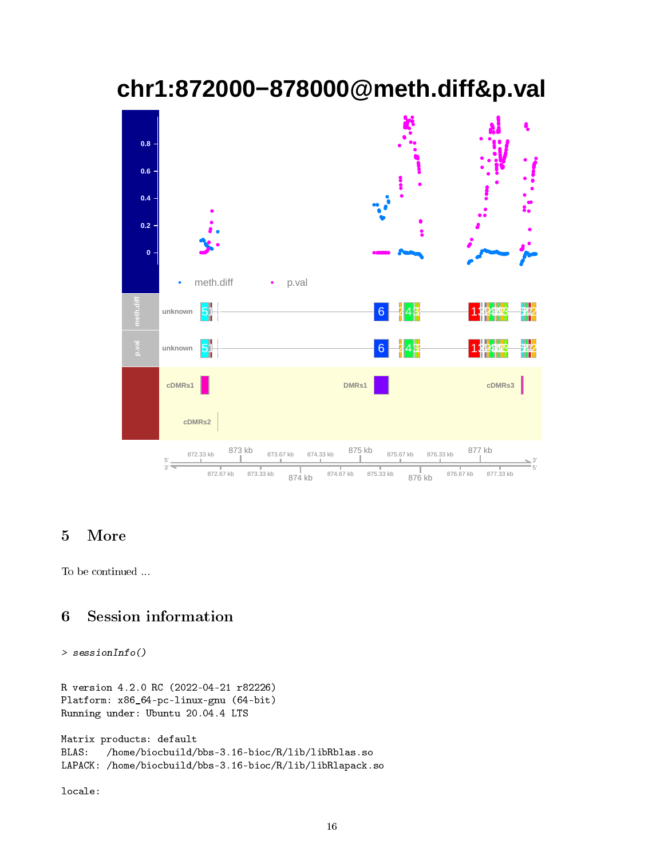# **chr1:872000−878000@meth.diff&p.val**



### 5 More

To be continued ...

### 6 Session information

```
> sessionInfo()
```

```
R version 4.2.0 RC (2022-04-21 r82226)
Platform: x86_64-pc-linux-gnu (64-bit)
Running under: Ubuntu 20.04.4 LTS
Matrix products: default
BLAS: /home/biocbuild/bbs-3.16-bioc/R/lib/libRblas.so
LAPACK: /home/biocbuild/bbs-3.16-bioc/R/lib/libRlapack.so
```
locale: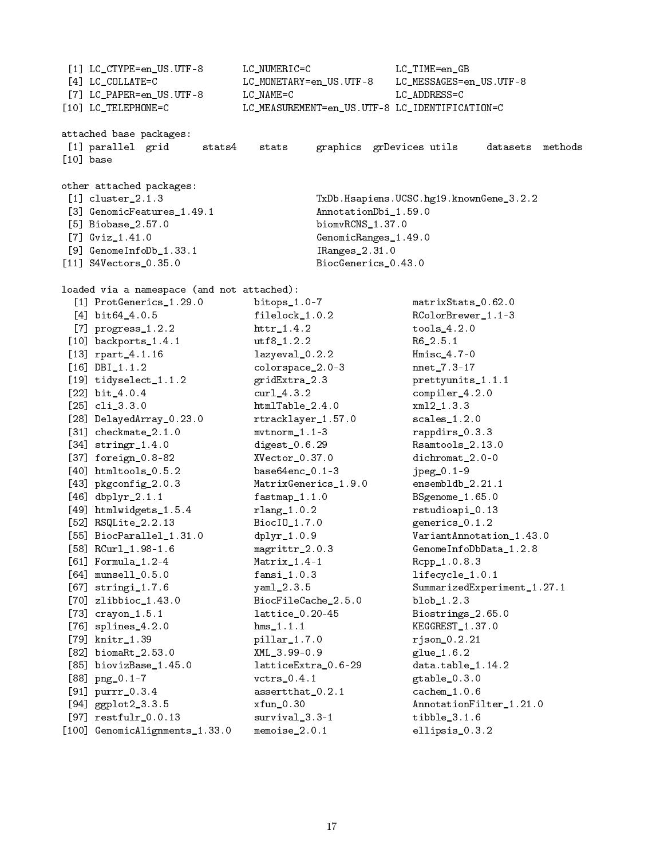[1] LC\_CTYPE=en\_US.UTF-8 LC\_NUMERIC=C LC\_TIME=en\_GB [4] LC\_COLLATE=C LC\_MONETARY=en\_US.UTF-8 LC\_MESSAGES=en\_US.UTF-8 [7] LC\_PAPER=en\_US.UTF-8 LC\_NAME=C LC\_ADDRESS=C [10] LC\_TELEPHONE=C LC\_MEASUREMENT=en\_US.UTF-8 LC\_IDENTIFICATION=C attached base packages: [1] parallel grid stats4 stats graphics grDevices utils datasets methods [10] base other attached packages: [1] cluster\_2.1.3 TxDb.Hsapiens.UCSC.hg19.knownGene\_3.2.2 [3] GenomicFeatures 1.49.1 AnnotationDbi 1.59.0 [5] Biobase\_2.57.0 biomvRCNS\_1.37.0 [7] Gviz\_1.41.0 GenomicRanges\_1.49.0 [9] GenomeInfoDb\_1.33.1 IRanges\_2.31.0 [11] S4Vectors\_0.35.0 BiocGenerics\_0.43.0 loaded via a namespace (and not attached): [1] ProtGenerics\_1.29.0 bitops\_1.0-7 matrixStats\_0.62.0 [4] bit64\_4.0.5 filelock\_1.0.2 RColorBrewer\_1.1-3 [7] progress\_1.2.2 httr\_1.4.2 tools\_4.2.0 [10] backports\_1.4.1 utf8\_1.2.2 R6\_2.5.1 [13] rpart\_4.1.16 lazyeval\_0.2.2 Hmisc\_4.7-0  $colorspace_2.0-3$  nnet $_7.3-17$ [19] tidyselect\_1.1.2 gridExtra\_2.3 prettyunits\_1.1.1 [22] bit\_4.0.4 curl\_4.3.2 compiler\_4.2.0 [25] cli\_3.3.0 htmlTable\_2.4.0 xml2\_1.3.3 [28] DelayedArray\_0.23.0 rtracklayer\_1.57.0 scales\_1.2.0 [31] checkmate\_2.1.0 mvtnorm\_1.1-3 rappdirs\_0.3.3 [34] stringr\_1.4.0 digest\_0.6.29 Rsamtools\_2.13.0 [37] foreign\_0.8-82 XVector\_0.37.0 dichromat\_2.0-0 [40] htmltools\_0.5.2 base64enc\_0.1-3 jpeg\_0.1-9 [43] pkgconfig\_2.0.3 MatrixGenerics\_1.9.0 ensembldb\_2.21.1 [46] dbplyr\_2.1.1 fastmap\_1.1.0 BSgenome\_1.65.0 [49] htmlwidgets\_1.5.4 rlang\_1.0.2 rstudioapi\_0.13 [52] RSQLite\_2.2.13 BiocIO\_1.7.0 generics\_0.1.2 [55] BiocParallel\_1.31.0 dplyr\_1.0.9 VariantAnnotation\_1.43.0 [58] RCurl\_1.98-1.6 magrittr\_2.0.3 GenomeInfoDbData\_1.2.8 [61] Formula\_1.2-4 Matrix\_1.4-1 Rcpp\_1.0.8.3 [64] munsell\_0.5.0 fansi\_1.0.3 lifecycle\_1.0.1 [67] stringi\_1.7.6 yaml\_2.3.5 SummarizedExperiment\_1.27.1 [70] zlibbioc\_1.43.0 BiocFileCache\_2.5.0 blob\_1.2.3 [73] crayon\_1.5.1 lattice\_0.20-45 Biostrings\_2.65.0 [76] splines\_4.2.0 hms\_1.1.1 KEGGREST\_1.37.0 [79] knitr\_1.39 pillar\_1.7.0 rjson\_0.2.21 [82] biomaRt\_2.53.0 XML\_3.99-0.9 glue\_1.6.2 [85] biovizBase\_1.45.0 latticeExtra\_0.6-29 data.table\_1.14.2 [88] png\_0.1-7 vctrs\_0.4.1 gtable\_0.3.0 [91] purrr\_0.3.4 assertthat\_0.2.1 cachem\_1.0.6 [94] ggplot2\_3.3.5 xfun\_0.30 AnnotationFilter\_1.21.0 [97] restfulr\_0.0.13 survival\_3.3-1 tibble\_3.1.6 [100] GenomicAlignments\_1.33.0 memoise\_2.0.1 ellipsis\_0.3.2